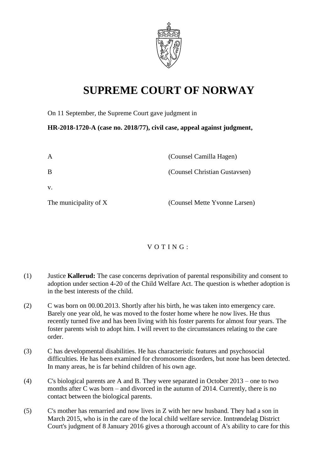

# **SUPREME COURT OF NORWAY**

On 11 September, the Supreme Court gave judgment in

**HR-2018-1720-A (case no. 2018/77), civil case, appeal against judgment,**

| $\mathbf{A}$          | (Counsel Camilla Hagen)       |
|-----------------------|-------------------------------|
| B                     | (Counsel Christian Gustavsen) |
| V.                    |                               |
| The municipality of X | (Counsel Mette Yvonne Larsen) |

# V O T I N G :

- (1) Justice **Kallerud:** The case concerns deprivation of parental responsibility and consent to adoption under section 4-20 of the Child Welfare Act. The question is whether adoption is in the best interests of the child.
- (2) C was born on 00.00.2013. Shortly after his birth, he was taken into emergency care. Barely one year old, he was moved to the foster home where he now lives. He thus recently turned five and has been living with his foster parents for almost four years. The foster parents wish to adopt him. I will revert to the circumstances relating to the care order.
- (3) C has developmental disabilities. He has characteristic features and psychosocial difficulties. He has been examined for chromosome disorders, but none has been detected. In many areas, he is far behind children of his own age.
- (4) C's biological parents are A and B. They were separated in October 2013 one to two months after C was born – and divorced in the autumn of 2014. Currently, there is no contact between the biological parents.
- (5) C's mother has remarried and now lives in Z with her new husband. They had a son in March 2015, who is in the care of the local child welfare service. Inntrøndelag District Court's judgment of 8 January 2016 gives a thorough account of A's ability to care for this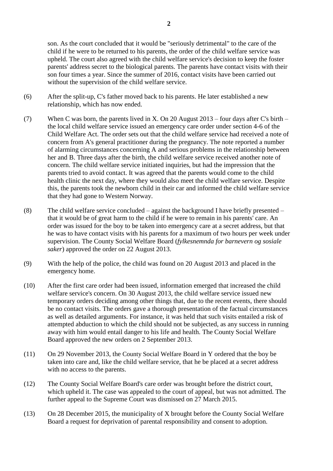son. As the court concluded that it would be "seriously detrimental" to the care of the child if he were to be returned to his parents, the order of the child welfare service was upheld. The court also agreed with the child welfare service's decision to keep the foster parents' address secret to the biological parents. The parents have contact visits with their son four times a year. Since the summer of 2016, contact visits have been carried out without the supervision of the child welfare service.

- (6) After the split-up, C's father moved back to his parents. He later established a new relationship, which has now ended.
- (7) When C was born, the parents lived in X. On 20 August 2013 four days after C's birth the local child welfare service issued an emergency care order under section 4-6 of the Child Welfare Act. The order sets out that the child welfare service had received a note of concern from A's general practitioner during the pregnancy. The note reported a number of alarming circumstances concerning A and serious problems in the relationship between her and B. Three days after the birth, the child welfare service received another note of concern. The child welfare service initiated inquiries, but had the impression that the parents tried to avoid contact. It was agreed that the parents would come to the child health clinic the next day, where they would also meet the child welfare service. Despite this, the parents took the newborn child in their car and informed the child welfare service that they had gone to Western Norway.
- (8) The child welfare service concluded against the background I have briefly presented that it would be of great harm to the child if he were to remain in his parents' care. An order was issued for the boy to be taken into emergency care at a secret address, but that he was to have contact visits with his parents for a maximum of two hours per week under supervision. The County Social Welfare Board (*fylkesnemnda for barnevern og sosiale saker*) approved the order on 22 August 2013.
- (9) With the help of the police, the child was found on 20 August 2013 and placed in the emergency home.
- (10) After the first care order had been issued, information emerged that increased the child welfare service's concern. On 30 August 2013, the child welfare service issued new temporary orders deciding among other things that, due to the recent events, there should be no contact visits. The orders gave a thorough presentation of the factual circumstances as well as detailed arguments. For instance, it was held that such visits entailed a risk of attempted abduction to which the child should not be subjected, as any success in running away with him would entail danger to his life and health. The County Social Welfare Board approved the new orders on 2 September 2013.
- (11) On 29 November 2013, the County Social Welfare Board in Y ordered that the boy be taken into care and, like the child welfare service, that he be placed at a secret address with no access to the parents.
- (12) The County Social Welfare Board's care order was brought before the district court, which upheld it. The case was appealed to the court of appeal, but was not admitted. The further appeal to the Supreme Court was dismissed on 27 March 2015.
- (13) On 28 December 2015, the municipality of X brought before the County Social Welfare Board a request for deprivation of parental responsibility and consent to adoption.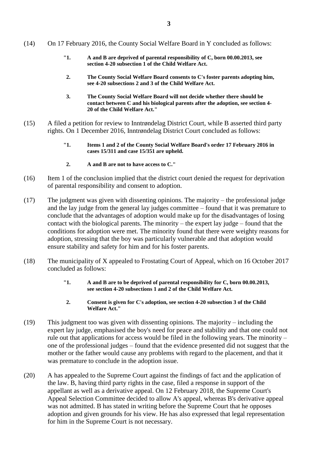- (14) On 17 February 2016, the County Social Welfare Board in Y concluded as follows:
	- **"1. A and B are deprived of parental responsibility of C, born 00.00.2013, see section 4-20 subsection 1 of the Child Welfare Act.**
	- **2. The County Social Welfare Board consents to C's foster parents adopting him, see 4-20 subsections 2 and 3 of the Child Welfare Act.**
	- **3. The County Social Welfare Board will not decide whether there should be contact between C and his biological parents after the adoption, see section 4- 20 of the Child Welfare Act."**
- (15) A filed a petition for review to Inntrøndelag District Court, while B asserted third party rights. On 1 December 2016, Inntrøndelag District Court concluded as follows:
	- **"1. Items 1 and 2 of the County Social Welfare Board's order 17 February 2016 in cases 15/311 and case 15/351 are upheld.**
	- **2. A and B are not to have access to C."**
- (16) Item 1 of the conclusion implied that the district court denied the request for deprivation of parental responsibility and consent to adoption.
- (17) The judgment was given with dissenting opinions. The majority the professional judge and the lay judge from the general lay judges committee – found that it was premature to conclude that the advantages of adoption would make up for the disadvantages of losing contact with the biological parents. The minority – the expert lay judge – found that the conditions for adoption were met. The minority found that there were weighty reasons for adoption, stressing that the boy was particularly vulnerable and that adoption would ensure stability and safety for him and for his foster parents.
- (18) The municipality of X appealed to Frostating Court of Appeal, which on 16 October 2017 concluded as follows:
	- **"1. A and B are to be deprived of parental responsibility for C, born 00.00.2013, see section 4-20 subsections 1 and 2 of the Child Welfare Act.**
	- **2. Consent is given for C's adoption, see section 4-20 subsection 3 of the Child Welfare Act."**
- (19) This judgment too was given with dissenting opinions. The majority including the expert lay judge, emphasised the boy's need for peace and stability and that one could not rule out that applications for access would be filed in the following years. The minority – one of the professional judges – found that the evidence presented did not suggest that the mother or the father would cause any problems with regard to the placement, and that it was premature to conclude in the adoption issue.
- (20) A has appealed to the Supreme Court against the findings of fact and the application of the law. B, having third party rights in the case, filed a response in support of the appellant as well as a derivative appeal. On 12 February 2018, the Supreme Court's Appeal Selection Committee decided to allow A's appeal, whereas B's derivative appeal was not admitted. B has stated in writing before the Supreme Court that he opposes adoption and given grounds for his view. He has also expressed that legal representation for him in the Supreme Court is not necessary.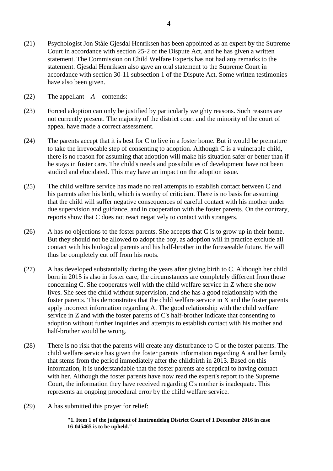- (21) Psychologist Jon Ståle Gjesdal Henriksen has been appointed as an expert by the Supreme Court in accordance with section 25-2 of the Dispute Act, and he has given a written statement. The Commission on Child Welfare Experts has not had any remarks to the statement. Gjesdal Henriksen also gave an oral statement to the Supreme Court in accordance with section 30-11 subsection 1 of the Dispute Act. Some written testimonies have also been given.
- (22) The appellant  $-A$  contends:
- (23) Forced adoption can only be justified by particularly weighty reasons. Such reasons are not currently present. The majority of the district court and the minority of the court of appeal have made a correct assessment.
- (24) The parents accept that it is best for C to live in a foster home. But it would be premature to take the irrevocable step of consenting to adoption. Although C is a vulnerable child, there is no reason for assuming that adoption will make his situation safer or better than if he stays in foster care. The child's needs and possibilities of development have not been studied and elucidated. This may have an impact on the adoption issue.
- (25) The child welfare service has made no real attempts to establish contact between C and his parents after his birth, which is worthy of criticism. There is no basis for assuming that the child will suffer negative consequences of careful contact with his mother under due supervision and guidance, and in cooperation with the foster parents. On the contrary, reports show that C does not react negatively to contact with strangers.
- (26) A has no objections to the foster parents. She accepts that C is to grow up in their home. But they should not be allowed to adopt the boy, as adoption will in practice exclude all contact with his biological parents and his half-brother in the foreseeable future. He will thus be completely cut off from his roots.
- (27) A has developed substantially during the years after giving birth to C. Although her child born in 2015 is also in foster care, the circumstances are completely different from those concerning C. She cooperates well with the child welfare service in Z where she now lives. She sees the child without supervision, and she has a good relationship with the foster parents. This demonstrates that the child welfare service in X and the foster parents apply incorrect information regarding A. The good relationship with the child welfare service in Z and with the foster parents of C's half-brother indicate that consenting to adoption without further inquiries and attempts to establish contact with his mother and half-brother would be wrong.
- (28) There is no risk that the parents will create any disturbance to C or the foster parents. The child welfare service has given the foster parents information regarding A and her family that stems from the period immediately after the childbirth in 2013. Based on this information, it is understandable that the foster parents are sceptical to having contact with her. Although the foster parents have now read the expert's report to the Supreme Court, the information they have received regarding C's mother is inadequate. This represents an ongoing procedural error by the child welfare service.
- (29) A has submitted this prayer for relief:

**"1. Item 1 of the judgment of Inntrøndelag District Court of 1 December 2016 in case 16-045465 is to be upheld."**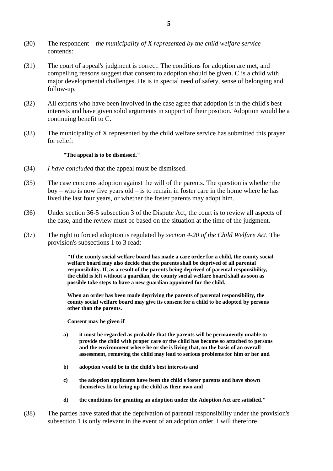- (30) The respondent *the municipality of X represented by the child welfare service* contends:
- (31) The court of appeal's judgment is correct. The conditions for adoption are met, and compelling reasons suggest that consent to adoption should be given. C is a child with major developmental challenges. He is in special need of safety, sense of belonging and follow-up.
- (32) All experts who have been involved in the case agree that adoption is in the child's best interests and have given solid arguments in support of their position. Adoption would be a continuing benefit to C.
- (33) The municipality of X represented by the child welfare service has submitted this prayer for relief:

#### **"The appeal is to be dismissed."**

- (34) *I have concluded* that the appeal must be dismissed.
- (35) The case concerns adoption against the will of the parents. The question is whether the boy – who is now five years old – is to remain in foster care in the home where he has lived the last four years, or whether the foster parents may adopt him.
- (36) Under section 36-5 subsection 3 of the Dispute Act, the court is to review all aspects of the case, and the review must be based on the situation at the time of the judgment.
- (37) The right to forced adoption is regulated by *section 4-20 of the Child Welfare Act*. The provision's subsections 1 to 3 read:

**"If the county social welfare board has made a care order for a child, the county social welfare board may also decide that the parents shall be deprived of all parental responsibility. If, as a result of the parents being deprived of parental responsibility, the child is left without a guardian, the county social welfare board shall as soon as possible take steps to have a new guardian appointed for the child.**

**When an order has been made depriving the parents of parental responsibility, the county social welfare board may give its consent for a child to be adopted by persons other than the parents.**

**Consent may be given if**

- **a) it must be regarded as probable that the parents will be permanently unable to provide the child with proper care or the child has become so attached to persons and the environment where he or she is living that, on the basis of an overall assessment, removing the child may lead to serious problems for him or her and**
- **b) adoption would be in the child's best interests and**
- **c) the adoption applicants have been the child's foster parents and have shown themselves fit to bring up the child as their own and**
- **d) the conditions for granting an adoption under the Adoption Act are satisfied."**
- (38) The parties have stated that the deprivation of parental responsibility under the provision's subsection 1 is only relevant in the event of an adoption order. I will therefore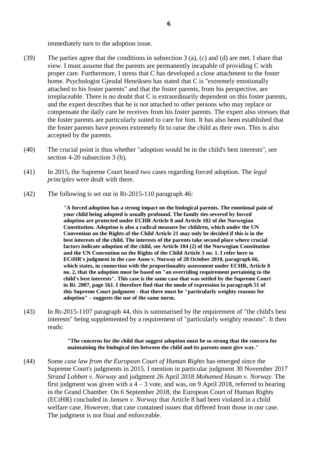immediately turn to the adoption issue.

- (39) The parties agree that the conditions in subsection 3 (a), (c) and (d) are met. I share that view. I must assume that the parents are permanently incapable of providing C with proper care. Furthermore, I stress that C has developed a close attachment to the foster home. Psychologist Gjesdal Henriksen has stated that C is "extremely emotionally attached to his foster parents" and that the foster parents, from his perspective, are irreplaceable. There is no doubt that C is extraordinarily dependent on this foster parents, and the expert describes that he is not attached to other persons who may replace or compensate the daily care he receives from his foster parents. The expert also stresses that the foster parents are particularly suited to care for him. It has also been established that the foster parents have proven extremely fit to raise the child as their own. This is also accepted by the parents.
- (40) The crucial point is thus whether "adoption would be in the child's best interests", see section 4-20 subsection 3 (b).
- (41) In 2015, the Supreme Court heard two cases regarding forced adoption. The *legal principles* were dealt with there.
- (42) The following is set out in Rt-2015-110 paragraph 46:

**"A forced adoption has a strong impact on the biological parents. The emotional pain of your child being adopted is usually profound. The family ties severed by forced adoption are protected under ECHR Article 8 and Article 102 of the Norwegian Constitution. Adoption is also a radical measure for children, which under the UN Convention on the Rights of the Child Article 21 may only be decided if this is in the best interests of the child. The interests of the parents take second place where crucial factors indicate adoption of the child, see Article 104 (2) of the Norwegian Constitution and the UN Convention on the Rights of the Child Article 3 no. 1. I refer here to ECtHR's judgment in the case Aune v. Norway of 28 October 2010, paragraph 66, which states, in connection with the proportionality assessment under ECHR, Article 8 no. 2, that the adoption must be based on "an overriding requirement pertaining to the child's best interests". This case is the same case that was settled by the Supreme Court in Rt. 2007, page 561. I therefore find that the mode of expression in paragraph 51 of this Supreme Court judgment - that there must be "particularly weighty reasons for adoption" – suggests the use of the same norm.**

(43) In Rt-2015-1107 paragraph 44, this is summarised by the requirement of "the child's best interests" being supplemented by a requirement of "particularly weighty reasons". It then reads:

> **"The concerns for the child that suggest adoption must be so strong that the concern for maintaining the biological ties between the child and its parents must give way."**

(44) Some *case law from the European Court of Human Rights* has emerged since the Supreme Court's judgments in 2015. I mention in particular judgment 30 November 2017 *Strand Lobben v. Norway* and judgment 26 April 2018 *Mohamed Hasan v. Norway*. The first judgment was given with a  $4 - 3$  vote, and was, on 9 April 2018, referred to hearing in the Grand Chamber. On 6 September 2018, the European Court of Human Rights (ECtHR) concluded in *Jansen v. Norway* that Article 8 had been violated in a child welfare case. However, that case contained issues that differed from those in our case. The judgment is not final and enforceable.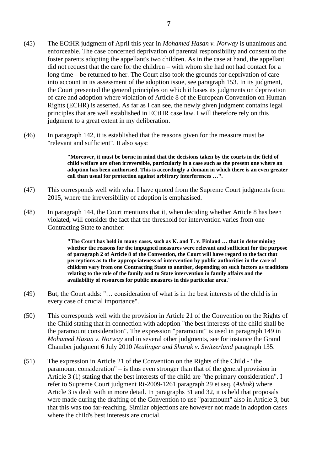- (45) The ECtHR judgment of April this year in *Mohamed Hasan v. Norway* is unanimous and enforceable. The case concerned deprivation of parental responsibility and consent to the foster parents adopting the appellant's two children. As in the case at hand, the appellant did not request that the care for the children – with whom she had not had contact for a long time – be returned to her. The Court also took the grounds for deprivation of care into account in its assessment of the adoption issue, see paragraph 153. In its judgment, the Court presented the general principles on which it bases its judgments on deprivation of care and adoption where violation of Article 8 of the European Convention on Human Rights (ECHR) is asserted. As far as I can see, the newly given judgment contains legal principles that are well established in ECtHR case law. I will therefore rely on this judgment to a great extent in my deliberation.
- (46) In paragraph 142, it is established that the reasons given for the measure must be "relevant and sufficient". It also says:

**"Moreover, it must be borne in mind that the decisions taken by the courts in the field of child welfare are often irreversible, particularly in a case such as the present one where an adoption has been authorised. This is accordingly a domain in which there is an even greater call than usual for protection against arbitrary interferences …".**

- (47) This corresponds well with what I have quoted from the Supreme Court judgments from 2015, where the irreversibility of adoption is emphasised.
- (48) In paragraph 144, the Court mentions that it, when deciding whether Article 8 has been violated, will consider the fact that the threshold for intervention varies from one Contracting State to another:

**"The Court has held in many cases, such as K. and T. v. Finland … that in determining whether the reasons for the impugned measures were relevant and sufficient for the purpose of paragraph 2 of Article 8 of the Convention, the Court will have regard to the fact that perceptions as to the appropriateness of intervention by public authorities in the care of children vary from one Contracting State to another, depending on such factors as traditions relating to the role of the family and to State intervention in family affairs and the availability of resources for public measures in this particular area."** 

- (49) But, the Court adds: "… consideration of what is in the best interests of the child is in every case of crucial importance".
- (50) This corresponds well with the provision in Article 21 of the Convention on the Rights of the Child stating that in connection with adoption "the best interests of the child shall be the paramount consideration". The expression "paramount" is used in paragraph 149 in *Mohamed Hasan v. Norway* and in several other judgments, see for instance the Grand Chamber judgment 6 July 2010 *Neulinger and Shuruk v. Switzerland* paragraph 135.
- (51) The expression in Article 21 of the Convention on the Rights of the Child "the paramount consideration" – is thus even stronger than that of the general provision in Article 3 (1) stating that the best interests of the child are "the primary consideration". I refer to Supreme Court judgment Rt-2009-1261 paragraph 29 et seq. (*Ashok*) where Article 3 is dealt with in more detail. In paragraphs 31 and 32, it is held that proposals were made during the drafting of the Convention to use "paramount" also in Article 3, but that this was too far-reaching. Similar objections are however not made in adoption cases where the child's best interests are crucial.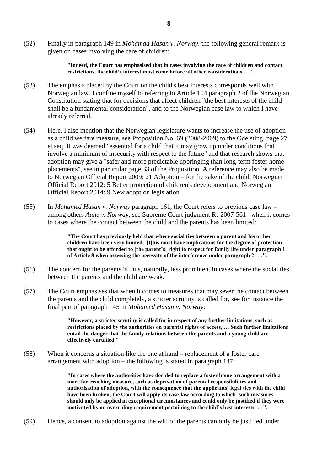(52) Finally in paragraph 149 in *Mohamad Hasan v. Norway*, the following general remark is given on cases involving the care of children:

> **"Indeed, the Court has emphasised that in cases involving the care of children and contact restrictions, the child's interest must come before all other considerations …".**

- (53) The emphasis placed by the Court on the child's best interests corresponds well with Norwegian law. I confine myself to referring to Article 104 paragraph 2 of the Norwegian Constitution stating that for decisions that affect children "the best interests of the child shall be a fundamental consideration", and to the Norwegian case law to which I have already referred.
- (54) Here, I also mention that the Norwegian legislature wants to increase the use of adoption as a child welfare measure, see Proposition No. 69 (2008-2009) to the Odelsting, page 27 et seq. It was deemed "essential for a child that it may grow up under conditions that involve a minimum of insecurity with respect to the future" and that research shows that adoption may give a "safer and more predictable upbringing than long-term foster home placements", see in particular page 33 of the Proposition. A reference may also be made to Norwegian Official Report 2009: 21 Adoption – for the sake of the child, Norwegian Official Report 2012: 5 Better protection of children's development and Norwegian Official Report 2014: 9 New adoption legislation.
- (55) In *Mohamed Hasan v. Norway* paragraph 161, the Court refers to previous case law among others *Aune v. Norway*, see Supreme Court judgment Rt-2007-561– when it comes to cases where the contact between the child and the parents has been limited:

**"The Court has previously held that where social ties between a parent and his or her children have been very limited, '[t]his must have implications for the degree of protection that ought to be afforded to [the parent's] right to respect for family life under paragraph 1 of Article 8 when assessing the necessity of the interference under paragraph 2' …".** 

- (56) The concern for the parents is thus, naturally, less prominent in cases where the social ties between the parents and the child are weak.
- (57) The Court emphasises that when it comes to measures that may sever the contact between the parents and the child completely, a stricter scrutiny is called for, see for instance the final part of paragraph 145 in *Mohamed Hasan v. Norway*:

**"However, a stricter scrutiny is called for in respect of any further limitations, such as restrictions placed by the authorities on parental rights of access, … Such further limitations entail the danger that the family relations between the parents and a young child are effectively curtailed."** 

(58) When it concerns a situation like the one at hand – replacement of a foster care arrangement with adoption – the following is stated in paragraph 147:

> **"In cases where the authorities have decided to replace a foster home arrangement with a more far-reaching measure, such as deprivation of parental responsibilities and authorisation of adoption, with the consequence that the applicants' legal ties with the child have been broken, the Court will apply its case-law according to which 'such measures should only be applied in exceptional circumstances and could only be justified if they were motivated by an overriding requirement pertaining to the child's best interests' …".**

(59) Hence, a consent to adoption against the will of the parents can only be justified under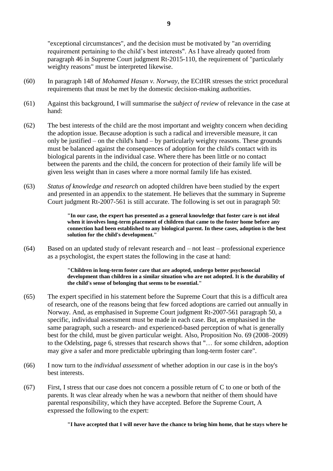"exceptional circumstances", and the decision must be motivated by "an overriding requirement pertaining to the child's best interests". As I have already quoted from paragraph 46 in Supreme Court judgment Rt-2015-110, the requirement of "particularly weighty reasons" must be interpreted likewise.

- (60) In paragraph 148 of *Mohamed Hasan v. Norway*, the ECtHR stresses the strict procedural requirements that must be met by the domestic decision-making authorities.
- (61) Against this background, I will summarise the *subject of review* of relevance in the case at hand:
- (62) The best interests of the child are the most important and weighty concern when deciding the adoption issue. Because adoption is such a radical and irreversible measure, it can only be justified – on the child's hand – by particularly weighty reasons. These grounds must be balanced against the consequences of adoption for the child's contact with its biological parents in the individual case. Where there has been little or no contact between the parents and the child, the concern for protection of their family life will be given less weight than in cases where a more normal family life has existed.
- (63) *Status of knowledge and research* on adopted children have been studied by the expert and presented in an appendix to the statement. He believes that the summary in Supreme Court judgment Rt-2007-561 is still accurate. The following is set out in paragraph 50:

**"In our case, the expert has presented as a general knowledge that foster care is not ideal when it involves long-term placement of children that came to the foster home before any connection had been established to any biological parent. In these cases, adoption is the best solution for the child's development."** 

(64) Based on an updated study of relevant research and – not least – professional experience as a psychologist, the expert states the following in the case at hand:

> **"Children in long-term foster care that are adopted, undergo better psychosocial development than children in a similar situation who are not adopted. It is the durability of the child's sense of belonging that seems to be essential."**

- (65) The expert specified in his statement before the Supreme Court that this is a difficult area of research, one of the reasons being that few forced adoptions are carried out annually in Norway. And, as emphasised in Supreme Court judgment Rt-2007-561 paragraph 50, a specific, individual assessment must be made in each case. But, as emphasised in the same paragraph, such a research- and experienced-based perception of what is generally best for the child, must be given particular weight. Also, Proposition No. 69 (2008–2009) to the Odelsting, page 6, stresses that research shows that "… for some children, adoption may give a safer and more predictable upbringing than long-term foster care".
- (66) I now turn to the *individual assessment* of whether adoption in our case is in the boy's best interests.
- (67) First, I stress that our case does not concern a possible return of C to one or both of the parents. It was clear already when he was a newborn that neither of them should have parental responsibility, which they have accepted. Before the Supreme Court, A expressed the following to the expert:

**"I have accepted that I will never have the chance to bring him home, that he stays where he**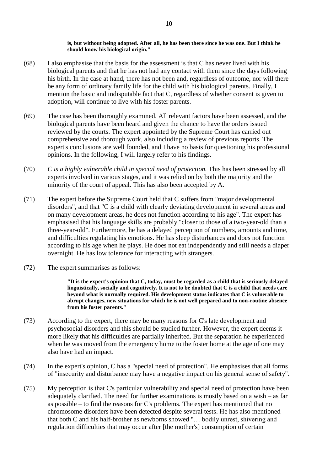### **is, but without being adopted. After all, he has been there since he was one. But I think he should know his biological origin."**

- (68) I also emphasise that the basis for the assessment is that C has never lived with his biological parents and that he has not had any contact with them since the days following his birth. In the case at hand, there has not been and, regardless of outcome, nor will there be any form of ordinary family life for the child with his biological parents. Finally, I mention the basic and indisputable fact that C, regardless of whether consent is given to adoption, will continue to live with his foster parents.
- (69) The case has been thoroughly examined. All relevant factors have been assessed, and the biological parents have been heard and given the chance to have the orders issued reviewed by the courts. The expert appointed by the Supreme Court has carried out comprehensive and thorough work, also including a review of previous reports. The expert's conclusions are well founded, and I have no basis for questioning his professional opinions. In the following, I will largely refer to his findings.
- (70) *C is a highly vulnerable child in special need of protection.* This has been stressed by all experts involved in various stages, and it was relied on by both the majority and the minority of the court of appeal. This has also been accepted by A.
- (71) The expert before the Supreme Court held that C suffers from "major developmental disorders", and that "C is a child with clearly deviating development in several areas and on many development areas, he does not function according to his age". The expert has emphasised that his language skills are probably "closer to those of a two-year-old than a three-year-old". Furthermore, he has a delayed perception of numbers, amounts and time, and difficulties regulating his emotions. He has sleep disturbances and does not function according to his age when he plays. He does not eat independently and still needs a diaper overnight. He has low tolerance for interacting with strangers.
- (72) The expert summarises as follows:

**"It is the expert's opinion that C, today, must be regarded as a child that is seriously delayed linguistically, socially and cognitively. It is not to be doubted that C is a child that needs care beyond what is normally required. His development status indicates that C is vulnerable to abrupt changes, new situations for which he is not well prepared and to non-routine absence from his foster parents."**

- (73) According to the expert, there may be many reasons for C's late development and psychosocial disorders and this should be studied further. However, the expert deems it more likely that his difficulties are partially inherited. But the separation he experienced when he was moved from the emergency home to the foster home at the age of one may also have had an impact.
- (74) In the expert's opinion, C has a "special need of protection". He emphasises that all forms of "insecurity and disturbance may have a negative impact on his general sense of safety".
- (75) My perception is that C's particular vulnerability and special need of protection have been adequately clarified. The need for further examinations is mostly based on a wish – as far as possible – to find the reasons for C's problems. The expert has mentioned that no chromosome disorders have been detected despite several tests. He has also mentioned that both C and his half-brother as newborns showed "… bodily unrest, shivering and regulation difficulties that may occur after [the mother's] consumption of certain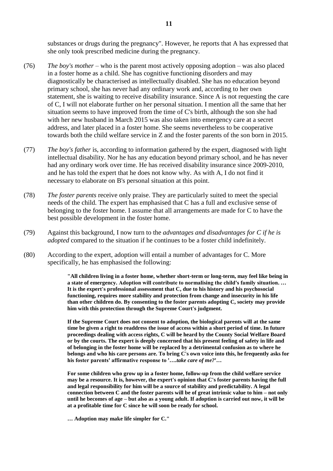substances or drugs during the pregnancy". However, he reports that A has expressed that she only took prescribed medicine during the pregnancy.

- (76) *The boy's mother* who is the parent most actively opposing adoption was also placed in a foster home as a child. She has cognitive functioning disorders and may diagnostically be characterised as intellectually disabled. She has no education beyond primary school, she has never had any ordinary work and, according to her own statement, she is waiting to receive disability insurance. Since A is not requesting the care of C, I will not elaborate further on her personal situation. I mention all the same that her situation seems to have improved from the time of C's birth, although the son she had with her new husband in March 2015 was also taken into emergency care at a secret address, and later placed in a foster home. She seems nevertheless to be cooperative towards both the child welfare service in Z and the foster parents of the son born in 2015.
- (77) *The boy's father* is, according to information gathered by the expert, diagnosed with light intellectual disability. Nor he has any education beyond primary school, and he has never had any ordinary work over time. He has received disability insurance since 2009-2010, and he has told the expert that he does not know why. As with A, I do not find it necessary to elaborate on B's personal situation at this point.
- (78) *The foster parents* receive only praise. They are particularly suited to meet the special needs of the child. The expert has emphasised that C has a full and exclusive sense of belonging to the foster home. I assume that all arrangements are made for C to have the best possible development in the foster home.
- (79) Against this background, I now turn to the *advantages and disadvantages for C if he is adopted* compared to the situation if he continues to be a foster child indefinitely.
- (80) According to the expert, adoption will entail a number of advantages for C. More specifically, he has emphasised the following:

**"All children living in a foster home, whether short-term or long-term, may feel like being in a state of emergency. Adoption will contribute to normalising the child's family situation. … It is the expert's professional assessment that C, due to his history and his psychosocial functioning, requires more stability and protection from change and insecurity in his life than other children do. By consenting to the foster parents adopting C, society may provide him with this protection through the Supreme Court's judgment.** 

**If the Supreme Court does not consent to adoption, the biological parents will at the same time be given a right to readdress the issue of access within a short period of time. In future proceedings dealing with access rights, C will be heard by the County Social Welfare Board or by the courts. The expert is deeply concerned that his present feeling of safety in life and of belonging in the foster home will be replaced by a detrimental confusion as to where he belongs and who his care persons are. To bring C's own voice into this, he frequently asks for his foster parents' affirmative response to '….***take care of me?***'…** 

**For some children who grow up in a foster home, follow-up from the child welfare service may be a resource. It is, however, the expert's opinion that C's foster parents having the full and legal responsibility for him will be a source of stability and predictability. A legal connection between C and the foster parents will be of great intrinsic value to him – not only until he becomes of age – but also as a young adult. If adoption is carried out now, it will be at a profitable time for C since he will soon be ready for school.** 

**… Adoption may make life simpler for C."**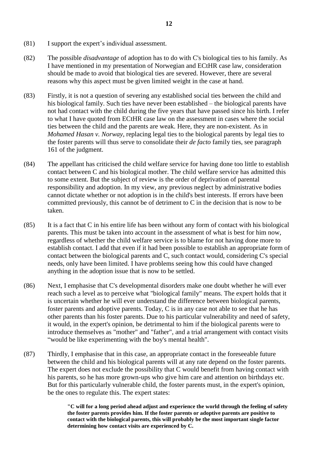- (81) I support the expert's individual assessment.
- (82) The possible *disadvantage* of adoption has to do with C's biological ties to his family. As I have mentioned in my presentation of Norwegian and ECtHR case law, consideration should be made to avoid that biological ties are severed. However, there are several reasons why this aspect must be given limited weight in the case at hand.
- (83) Firstly, it is not a question of severing any established social ties between the child and his biological family. Such ties have never been established – the biological parents have not had contact with the child during the five years that have passed since his birth. I refer to what I have quoted from ECtHR case law on the assessment in cases where the social ties between the child and the parents are weak. Here, they are non-existent. As in *Mohamed Hasan v. Norway*, replacing legal ties to the biological parents by legal ties to the foster parents will thus serve to consolidate their *de facto* family ties, see paragraph 161 of the judgment.
- (84) The appellant has criticised the child welfare service for having done too little to establish contact between C and his biological mother. The child welfare service has admitted this to some extent. But the subject of review is the order of deprivation of parental responsibility and adoption. In my view, any previous neglect by administrative bodies cannot dictate whether or not adoption is in the child's best interests. If errors have been committed previously, this cannot be of detriment to C in the decision that is now to be taken.
- (85) It is a fact that C in his entire life has been without any form of contact with his biological parents. This must be taken into account in the assessment of what is best for him now, regardless of whether the child welfare service is to blame for not having done more to establish contact. I add that even if it had been possible to establish an appropriate form of contact between the biological parents and C, such contact would, considering C's special needs, only have been limited. I have problems seeing how this could have changed anything in the adoption issue that is now to be settled.
- (86) Next, I emphasise that C's developmental disorders make one doubt whether he will ever reach such a level as to perceive what "biological family" means. The expert holds that it is uncertain whether he will ever understand the difference between biological parents, foster parents and adoptive parents. Today, C is in any case not able to see that he has other parents than his foster parents. Due to his particular vulnerability and need of safety, it would, in the expert's opinion, be detrimental to him if the biological parents were to introduce themselves as "mother" and "father", and a trial arrangement with contact visits "would be like experimenting with the boy's mental health".
- (87) Thirdly, I emphasise that in this case, an appropriate contact in the foreseeable future between the child and his biological parents will at any rate depend on the foster parents. The expert does not exclude the possibility that C would benefit from having contact with his parents, so he has more grown-ups who give him care and attention on birthdays etc. But for this particularly vulnerable child, the foster parents must, in the expert's opinion, be the ones to regulate this. The expert states:

**"C will for a long period ahead adjust and experience the world through the feeling of safety the foster parents provides him. If the foster parents or adoptive parents are positive to contact with the biological parents, this will probably be the most important single factor determining how contact visits are experienced by C.**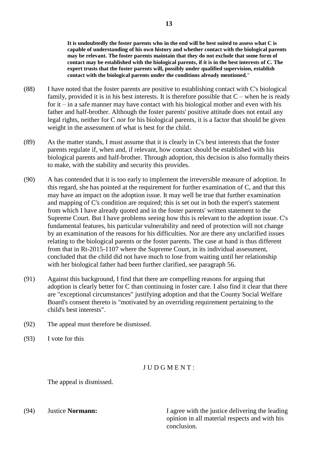**It is undoubtedly the foster parents who in the end will be best suited to assess what C is capable of understanding of his own history and whether contact with the biological parents may be relevant. The foster parents maintain that they do not exclude that some form of contact may be established with the biological parents, if it is in the best interests of C. The expert trusts that the foster parents will, possibly under qualified supervision, establish contact with the biological parents under the conditions already mentioned.**"

- (88) I have noted that the foster parents are positive to establishing contact with C's biological family, provided it is in his best interests. It is therefore possible that  $C$  – when he is ready for it – in a safe manner may have contact with his biological mother and even with his father and half-brother. Although the foster parents' positive attitude does not entail any legal rights, neither for C nor for his biological parents, it is a factor that should be given weight in the assessment of what is best for the child.
- (89) As the matter stands, I must assume that it is clearly in C's best interests that the foster parents regulate if, when and, if relevant, how contact should be established with his biological parents and half-brother. Through adoption, this decision is also formally theirs to make, with the stability and security this provides.
- (90) A has contended that it is too early to implement the irreversible measure of adoption. In this regard, she has pointed at the requirement for further examination of C, and that this may have an impact on the adoption issue. It may well be true that further examination and mapping of C's condition are required; this is set out in both the expert's statement from which I have already quoted and in the foster parents' written statement to the Supreme Court. But I have problems seeing how this is relevant to the adoption issue. C's fundamental features, his particular vulnerability and need of protection will not change by an examination of the reasons for his difficulties. Nor are there any unclarified issues relating to the biological parents or the foster parents. The case at hand is thus different from that in Rt-2015-1107 where the Supreme Court, in its individual assessment, concluded that the child did not have much to lose from waiting until her relationship with her biological father had been further clarified, see paragraph 56.
- (91) Against this background, I find that there are compelling reasons for arguing that adoption is clearly better for C than continuing in foster care. I also find it clear that there are "exceptional circumstances" justifying adoption and that the County Social Welfare Board's consent thereto is "motivated by an overriding requirement pertaining to the child's best interests".
- (92) The appeal must therefore be dismissed.
- (93) I vote for this

## J U D G M E N T :

The appeal is dismissed.

(94) Justice **Normann:** I agree with the justice delivering the leading opinion in all material respects and with his conclusion.